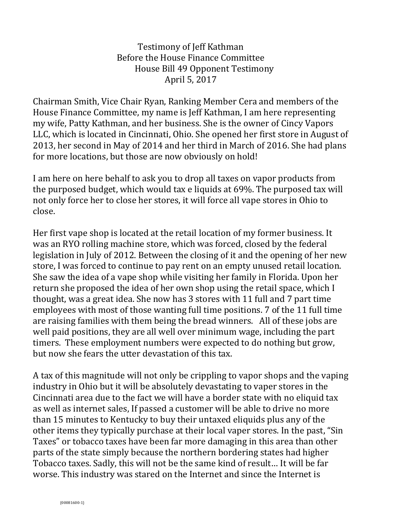Testimony of Jeff Kathman Before the House Finance Committee House Bill 49 Opponent Testimony April 5, 2017

Chairman Smith, Vice Chair Ryan, Ranking Member Cera and members of the House Finance Committee, my name is Jeff Kathman, I am here representing my wife, Patty Kathman, and her business. She is the owner of Cincy Vapors LLC, which is located in Cincinnati, Ohio. She opened her first store in August of 2013, her second in May of 2014 and her third in March of 2016. She had plans for more locations, but those are now obviously on hold!

I am here on here behalf to ask you to drop all taxes on vapor products from the purposed budget, which would tax e liquids at 69%. The purposed tax will not only force her to close her stores, it will force all vape stores in Ohio to close.

Her first vape shop is located at the retail location of my former business. It was an RYO rolling machine store, which was forced, closed by the federal legislation in July of 2012. Between the closing of it and the opening of her new store, I was forced to continue to pay rent on an empty unused retail location. She saw the idea of a vape shop while visiting her family in Florida. Upon her return she proposed the idea of her own shop using the retail space, which I thought, was a great idea. She now has 3 stores with 11 full and 7 part time employees with most of those wanting full time positions. 7 of the 11 full time are raising families with them being the bread winners. All of these jobs are well paid positions, they are all well over minimum wage, including the part timers. These employment numbers were expected to do nothing but grow, but now she fears the utter devastation of this tax.

A tax of this magnitude will not only be crippling to vapor shops and the vaping industry in Ohio but it will be absolutely devastating to vaper stores in the Cincinnati area due to the fact we will have a border state with no eliquid tax as well as internet sales, If passed a customer will be able to drive no more than 15 minutes to Kentucky to buy their untaxed eliquids plus any of the other items they typically purchase at their local vaper stores. In the past, "Sin Taxes" or tobacco taxes have been far more damaging in this area than other parts of the state simply because the northern bordering states had higher Tobacco taxes. Sadly, this will not be the same kind of result… It will be far worse. This industry was stared on the Internet and since the Internet is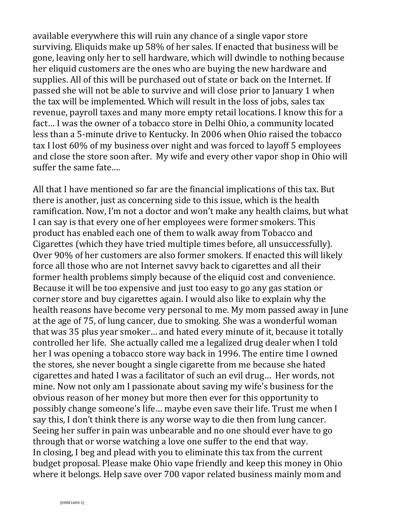available everywhere this will ruin any chance of a single vapor store surviving. Eliquids make up 58% of her sales. If enacted that business will be gone, leaving only her to sell hardware, which will dwindle to nothing because her eliquid customers are the ones who are buying the new hardware and supplies. All of this will be purchased out of state or back on the Internet. If passed she will not be able to survive and will close prior to January 1 when the tax will be implemented. Which will result in the loss of jobs, sales tax revenue, payroll taxes and many more empty retail locations. I know this for a fact… I was the owner of a tobacco store in Delhi Ohio, a community located less than a 5-minute drive to Kentucky. In 2006 when Ohio raised the tobacco tax I lost 60% of my business over night and was forced to layoff 5 employees and close the store soon after. My wife and every other vapor shop in Ohio will suffer the same fate….

All that I have mentioned so far are the financial implications of this tax. But there is another, just as concerning side to this issue, which is the health ramification. Now, I'm not a doctor and won't make any health claims, but what I can say is that every one of her employees were former smokers. This product has enabled each one of them to walk away from Tobacco and Cigarettes (which they have tried multiple times before, all unsuccessfully). Over 90% of her customers are also former smokers. If enacted this will likely force all those who are not Internet savvy back to cigarettes and all their former health problems simply because of the eliquid cost and convenience. Because it will be too expensive and just too easy to go any gas station or corner store and buy cigarettes again. I would also like to explain why the health reasons have become very personal to me. My mom passed away in June at the age of 75, of lung cancer, due to smoking. She was a wonderful woman that was 35 plus year smoker… and hated every minute of it, because it totally controlled her life. She actually called me a legalized drug dealer when I told her I was opening a tobacco store way back in 1996. The entire time I owned the stores, she never bought a single cigarette from me because she hated cigarettes and hated I was a facilitator of such an evil drug… Her words, not mine. Now not only am I passionate about saving my wife's business for the obvious reason of her money but more then ever for this opportunity to possibly change someone's life… maybe even save their life. Trust me when I say this, I don't think there is any worse way to die then from lung cancer. Seeing her suffer in pain was unbearable and no one should ever have to go through that or worse watching a love one suffer to the end that way. In closing, I beg and plead with you to eliminate this tax from the current budget proposal. Please make Ohio vape friendly and keep this money in Ohio where it belongs. Help save over 700 vapor related business mainly mom and